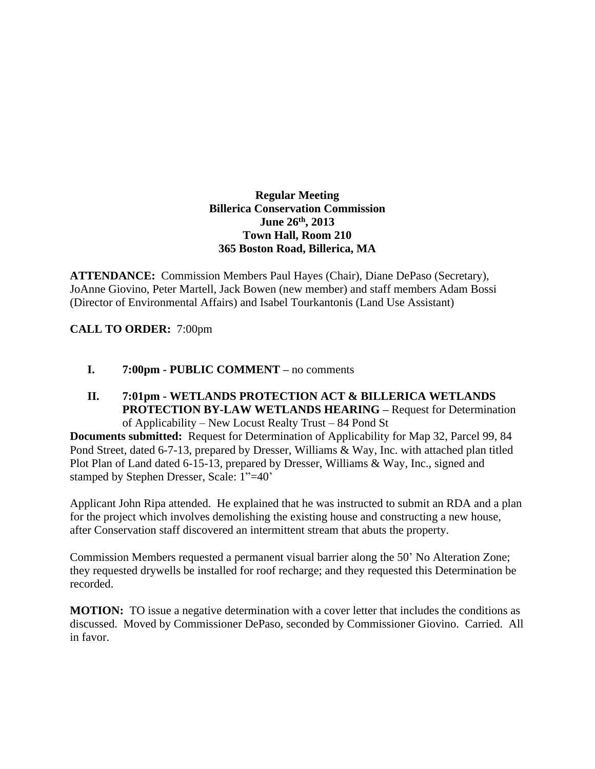## **Regular Meeting Billerica Conservation Commission June 26th , 2013 Town Hall, Room 210 365 Boston Road, Billerica, MA**

**ATTENDANCE:** Commission Members Paul Hayes (Chair), Diane DePaso (Secretary), JoAnne Giovino, Peter Martell, Jack Bowen (new member) and staff members Adam Bossi (Director of Environmental Affairs) and Isabel Tourkantonis (Land Use Assistant)

**CALL TO ORDER:** 7:00pm

## **I. 7:00pm - PUBLIC COMMENT –** no comments

**II. 7:01pm - WETLANDS PROTECTION ACT & BILLERICA WETLANDS PROTECTION BY-LAW WETLANDS HEARING –** Request for Determination of Applicability – New Locust Realty Trust – 84 Pond St

**Documents submitted:** Request for Determination of Applicability for Map 32, Parcel 99, 84 Pond Street, dated 6-7-13, prepared by Dresser, Williams & Way, Inc. with attached plan titled Plot Plan of Land dated 6-15-13, prepared by Dresser, Williams & Way, Inc., signed and stamped by Stephen Dresser, Scale: 1"=40'

Applicant John Ripa attended. He explained that he was instructed to submit an RDA and a plan for the project which involves demolishing the existing house and constructing a new house, after Conservation staff discovered an intermittent stream that abuts the property.

Commission Members requested a permanent visual barrier along the 50' No Alteration Zone; they requested drywells be installed for roof recharge; and they requested this Determination be recorded.

**MOTION:** TO issue a negative determination with a cover letter that includes the conditions as discussed. Moved by Commissioner DePaso, seconded by Commissioner Giovino. Carried. All in favor.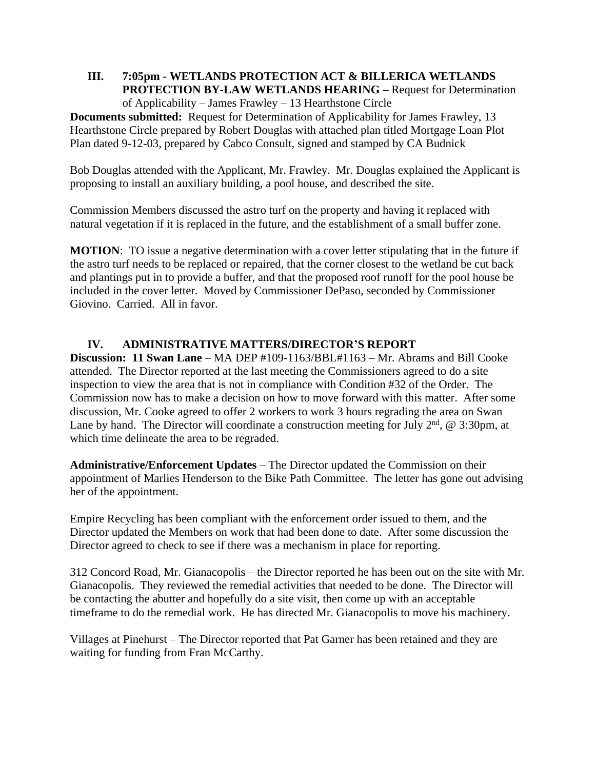## **III. 7:05pm - WETLANDS PROTECTION ACT & BILLERICA WETLANDS PROTECTION BY-LAW WETLANDS HEARING –** Request for Determination of Applicability – James Frawley – 13 Hearthstone Circle

**Documents submitted:** Request for Determination of Applicability for James Frawley, 13 Hearthstone Circle prepared by Robert Douglas with attached plan titled Mortgage Loan Plot Plan dated 9-12-03, prepared by Cabco Consult, signed and stamped by CA Budnick

Bob Douglas attended with the Applicant, Mr. Frawley. Mr. Douglas explained the Applicant is proposing to install an auxiliary building, a pool house, and described the site.

Commission Members discussed the astro turf on the property and having it replaced with natural vegetation if it is replaced in the future, and the establishment of a small buffer zone.

**MOTION**: TO issue a negative determination with a cover letter stipulating that in the future if the astro turf needs to be replaced or repaired, that the corner closest to the wetland be cut back and plantings put in to provide a buffer, and that the proposed roof runoff for the pool house be included in the cover letter. Moved by Commissioner DePaso, seconded by Commissioner Giovino. Carried. All in favor.

## **IV. ADMINISTRATIVE MATTERS/DIRECTOR'S REPORT**

**Discussion: 11 Swan Lane** – MA DEP #109-1163/BBL#1163 – Mr. Abrams and Bill Cooke attended. The Director reported at the last meeting the Commissioners agreed to do a site inspection to view the area that is not in compliance with Condition #32 of the Order. The Commission now has to make a decision on how to move forward with this matter. After some discussion, Mr. Cooke agreed to offer 2 workers to work 3 hours regrading the area on Swan Lane by hand. The Director will coordinate a construction meeting for July  $2<sup>nd</sup>$ , @ 3:30pm, at which time delineate the area to be regraded.

**Administrative/Enforcement Updates** – The Director updated the Commission on their appointment of Marlies Henderson to the Bike Path Committee. The letter has gone out advising her of the appointment.

Empire Recycling has been compliant with the enforcement order issued to them, and the Director updated the Members on work that had been done to date. After some discussion the Director agreed to check to see if there was a mechanism in place for reporting.

312 Concord Road, Mr. Gianacopolis – the Director reported he has been out on the site with Mr. Gianacopolis. They reviewed the remedial activities that needed to be done. The Director will be contacting the abutter and hopefully do a site visit, then come up with an acceptable timeframe to do the remedial work. He has directed Mr. Gianacopolis to move his machinery.

Villages at Pinehurst – The Director reported that Pat Garner has been retained and they are waiting for funding from Fran McCarthy.